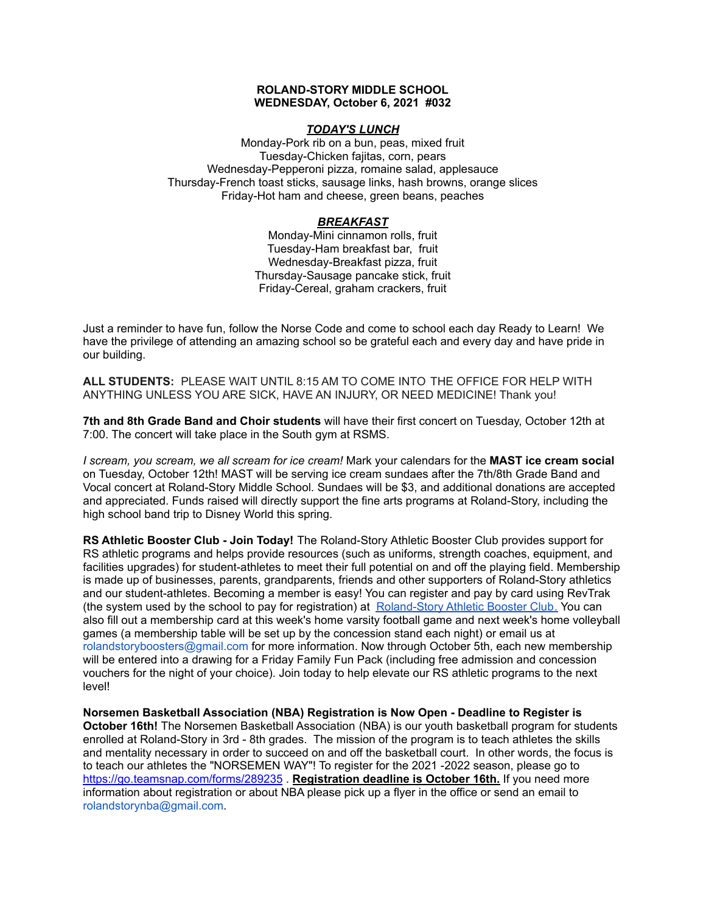#### **ROLAND-STORY MIDDLE SCHOOL WEDNESDAY, October 6, 2021 #032**

### *TODAY'S LUNCH*

Monday-Pork rib on a bun, peas, mixed fruit Tuesday-Chicken fajitas, corn, pears Wednesday-Pepperoni pizza, romaine salad, applesauce Thursday-French toast sticks, sausage links, hash browns, orange slices Friday-Hot ham and cheese, green beans, peaches

## *BREAKFAST*

Monday-Mini cinnamon rolls, fruit Tuesday-Ham breakfast bar, fruit Wednesday-Breakfast pizza, fruit Thursday-Sausage pancake stick, fruit Friday-Cereal, graham crackers, fruit

Just a reminder to have fun, follow the Norse Code and come to school each day Ready to Learn! We have the privilege of attending an amazing school so be grateful each and every day and have pride in our building.

**ALL STUDENTS:** PLEASE WAIT UNTIL 8:15 AM TO COME INTO THE OFFICE FOR HELP WITH ANYTHING UNLESS YOU ARE SICK, HAVE AN INJURY, OR NEED MEDICINE! Thank you!

**7th and 8th Grade Band and Choir students** will have their first concert on Tuesday, October 12th at 7:00. The concert will take place in the South gym at RSMS.

*I scream, you scream, we all scream for ice cream!* Mark your calendars for the **MAST ice cream social** on Tuesday, October 12th! MAST will be serving ice cream sundaes after the 7th/8th Grade Band and Vocal concert at Roland-Story Middle School. Sundaes will be \$3, and additional donations are accepted and appreciated. Funds raised will directly support the fine arts programs at Roland-Story, including the high school band trip to Disney World this spring.

**RS Athletic Booster Club - Join Today!** The Roland-Story Athletic Booster Club provides support for RS athletic programs and helps provide resources (such as uniforms, strength coaches, equipment, and facilities upgrades) for student-athletes to meet their full potential on and off the playing field. Membership is made up of businesses, parents, grandparents, friends and other supporters of Roland-Story athletics and our student-athletes. Becoming a member is easy! You can register and pay by card using RevTrak (the system used by the school to pay for registration) at [Roland-Story](https://rolandstory.revtrak.net/Roland-Story-Athletic-Booster-Club/) Athletic Booster Club. You can also fill out a membership card at this week's home varsity football game and next week's home volleyball games (a membership table will be set up by the concession stand each night) or email us at rolandstoryboosters@gmail.com for more information. Now through October 5th, each new membership will be entered into a drawing for a Friday Family Fun Pack (including free admission and concession vouchers for the night of your choice). Join today to help elevate our RS athletic programs to the next level!

**Norsemen Basketball Association (NBA) Registration is Now Open - Deadline to Register is October 16th!** The Norsemen Basketball Association (NBA) is our youth basketball program for students enrolled at Roland-Story in 3rd - 8th grades. The mission of the program is to teach athletes the skills and mentality necessary in order to succeed on and off the basketball court. In other words, the f[o](https://go.teamsnap.com/forms/289235)cus is to teach our athletes the "NORSEMEN WAY"! To register for the 2021 -2022 season, please go to <https://go.teamsnap.com/forms/289235> . **Registration deadline is October 16th.** If you need more information about registration or about NBA please pick up a flyer in the office or send an email to rolandstorynba@gmail.com.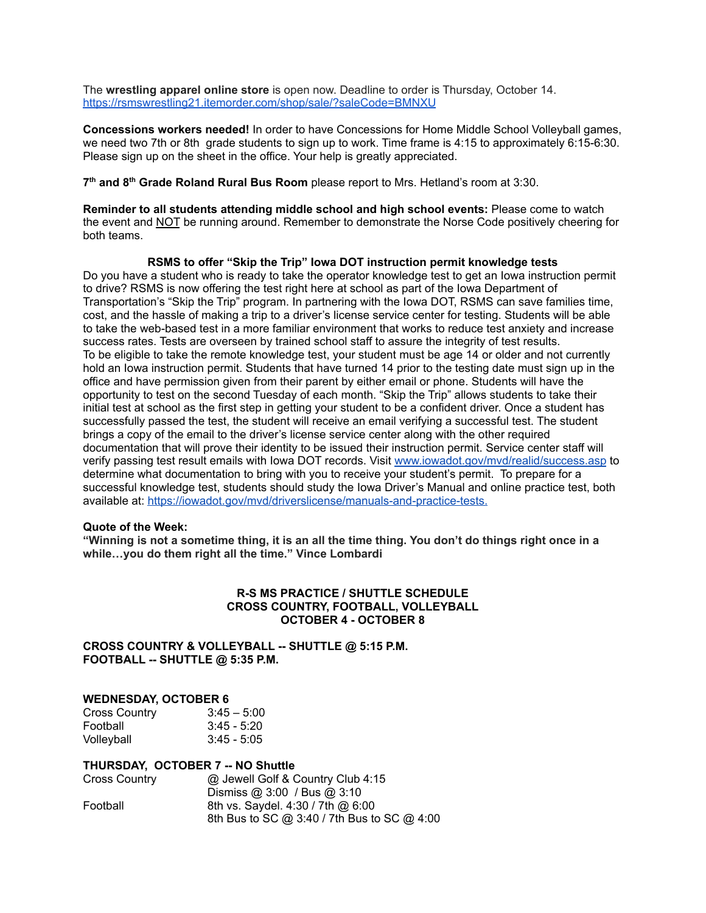The **wrestling apparel online store** is open now. Deadline to order is Thursday, October 14. <https://rsmswrestling21.itemorder.com/shop/sale/?saleCode=BMNXU>

**Concessions workers needed!** In order to have Concessions for Home Middle School Volleyball games, we need two 7th or 8th grade students to sign up to work. Time frame is 4:15 to approximately 6:15-6:30. Please sign up on the sheet in the office. Your help is greatly appreciated.

**7 th and 8 th Grade Roland Rural Bus Room** please report to Mrs. Hetland's room at 3:30.

**Reminder to all students attending middle school and high school events:** Please come to watch the event and NOT be running around. Remember to demonstrate the Norse Code positively cheering for both teams.

**RSMS to offer "Skip the Trip" Iowa DOT instruction permit knowledge tests** Do you have a student who is ready to take the operator knowledge test to get an Iowa instruction permit to drive? RSMS is now offering the test right here at school as part of the Iowa Department of Transportation's "Skip the Trip" program. In partnering with the Iowa DOT, RSMS can save families time, cost, and the hassle of making a trip to a driver's license service center for testing. Students will be able to take the web-based test in a more familiar environment that works to reduce test anxiety and increase success rates. Tests are overseen by trained school staff to assure the integrity of test results. To be eligible to take the remote knowledge test, your student must be age 14 or older and not currently hold an Iowa instruction permit. Students that have turned 14 prior to the testing date must sign up in the office and have permission given from their parent by either email or phone. Students will have the opportunity to test on the second Tuesday of each month. "Skip the Trip" allows students to take their initial test at school as the first step in getting your student to be a confident driver. Once a student has successfully passed the test, the student will receive an email verifying a successful test. The student brings a copy of the email to the driver's license service center along with the other required documentation that will prove their identity to be issued their instruction permit. Service center staff will verify passing test result emails with Iowa DOT records. Visit [www.iowadot.gov/mvd/realid/success.asp](http://www.iowadot.gov/mvd/realid/success.asp) to determine what documentation to bring with you to receive your student's permit. To prepare for a successful knowledge test, students should study the Iowa Driver's Manual and online practice test, both available at: <https://iowadot.gov/mvd/driverslicense/manuals-and-practice-tests>.

### **Quote of the Week:**

"Winning is not a sometime thing, it is an all the time thing. You don't do things right once in a **while…you do them right all the time." Vince Lombardi**

### **R-S MS PRACTICE / SHUTTLE SCHEDULE CROSS COUNTRY, FOOTBALL, VOLLEYBALL OCTOBER 4 - OCTOBER 8**

## **CROSS COUNTRY & VOLLEYBALL -- SHUTTLE @ 5:15 P.M. FOOTBALL -- SHUTTLE @ 5:35 P.M.**

### **WEDNESDAY, OCTOBER 6**

| <b>Cross Country</b> | $3:45 - 5:00$ |
|----------------------|---------------|
| Football             | $3:45 - 5:20$ |
| Volleyball           | $3:45 - 5:05$ |

#### **THURSDAY, OCTOBER 7 -- NO Shuttle**

| Cross Country | @ Jewell Golf & Country Club 4:15           |
|---------------|---------------------------------------------|
|               | Dismiss @ $3:00$ / Bus @ $3:10$             |
| Football      | 8th vs. Saydel. 4:30 / 7th @ 6:00           |
|               | 8th Bus to SC @ 3:40 / 7th Bus to SC @ 4:00 |